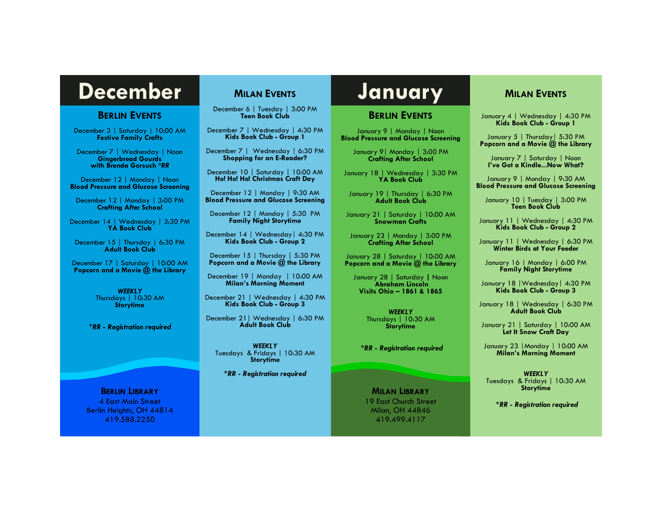# **December MILAN EVENTS** January

#### **BERLIN EVENTS**

December 3 | Saturday | 10:00 AM **Festive Family Crafts**

December 7 | Wednesday | Noon **Gingerbread Gourds with Brenda Gorsuch** *\*RR*

December 12 | Monday | Noon **Blood Pressure and Glucose Screening**

December 12 | Monday | 3:00 PM **Crafting After School**

December 14 | Wednesday | 3:30 PM **YA Book Club**

December 15 | Thursday | 6:30 PM **Adult Book Club**

December 17 | Saturday | 10:00 AM **Popcorn and a Movie @ the Library**

> *WEEKLY* Thursdays | 10:30 AM **Storytime**

*\*RR - Registration required*

**BERLIN LIBRARY** 4 East Main Street Berlin Heights, OH 44814 419.588.2250

# **MILAN EVENTS**

December 6 | Tuesday | 3:00 PM **Teen Book Club**

December 7 | Wednesday | 4:30 PM **Kids Book Club - Group 1**

December 7 | Wednesday | 6:30 PM **Shopping for an E-Reader?**

December 10 | Saturday | 10:00 AM **Ho! Ho! Ho! Christmas Craft Day**

December 12 | Monday | 9:30 AM **Blood Pressure and Glucose Screening**

December 12 | Monday | 5:30 PM **Family Night Storytime**

December 14 | Wednesday| 4:30 PM **Kids Book Club - Group 2**

December 15 | Thursday | 5:30 PM **Popcorn and a Movie @ the Library**

December 19 | Monday | 10:00 AM **Milan's Morning Moment**

December 21 | Wednesday | 4:30 PM **Kids Book Club - Group 3**

December 21| Wednesday | 6:30 PM **Adult Book Club**

*WEEKLY* Tuesdays & Fridays | 10:30 AM **Storytime**

*\*RR - Registration required*

#### **BERLIN EVENTS**

January 9 | Monday | Noon **Blood Pressure and Glucose Screening**

January 9| Monday | 3:00 PM **Crafting After School**

January 18 | Wednesday | 3:30 PM **YA Book Club**

January 19 | Thursday | 6:30 PM **Adult Book Club**

January 21 | Saturday | 10:00 AM **Snowman Crafts**

January 23 | Monday | 3:00 PM **Crafting After School**

January 28 | Saturday | 10:00 AM **Popcorn and a Movie @ the Library**

January 28 | Saturday **|** Noon **Abraham Lincoln Visits Ohio – 1861 & 1865**

> *WEEKLY* Thursdays | 10:30 AM **Storytime**

*\*RR - Registration required*

**MILAN LIBRARY** 19 East Church Street Milan, OH 44846

419.499.4117

## **MILAN EVENTS**

January 4 | Wednesday | 4:30 PM **Kids Book Club - Group 1**

January 5 | Thursday | 5:30 PM **Popcorn and a Movie @ the Library**

January 7 | Saturday | Noon **I've Got a Kindle...Now What?**

January 9 | Monday | 9:30 AM **Blood Pressure and Glucose Screening**

January 10 | Tuesday | 3:00 PM **Teen Book Club**

January 11 | Wednesday | 4:30 PM **Kids Book Club - Group 2**

January 11 | Wednesday | 6:30 PM **Winter Birds at Your Feeder**

January 16 | Monday | 6:00 PM **Family Night Storytime**

January 18 |Wednesday| 4:30 PM **Kids Book Club - Group 3**

January 18 | Wednesday | 6:30 PM **Adult Book Club**

January 21 | Saturday | 10:00 AM **Let It Snow Craft Day**

January 23 |Monday | 10:00 AM **Milan's Morning Moment**

*WEEKLY* Tuesdays & Fridays | 10:30 AM **Storytime**

*\*RR - Registration required*